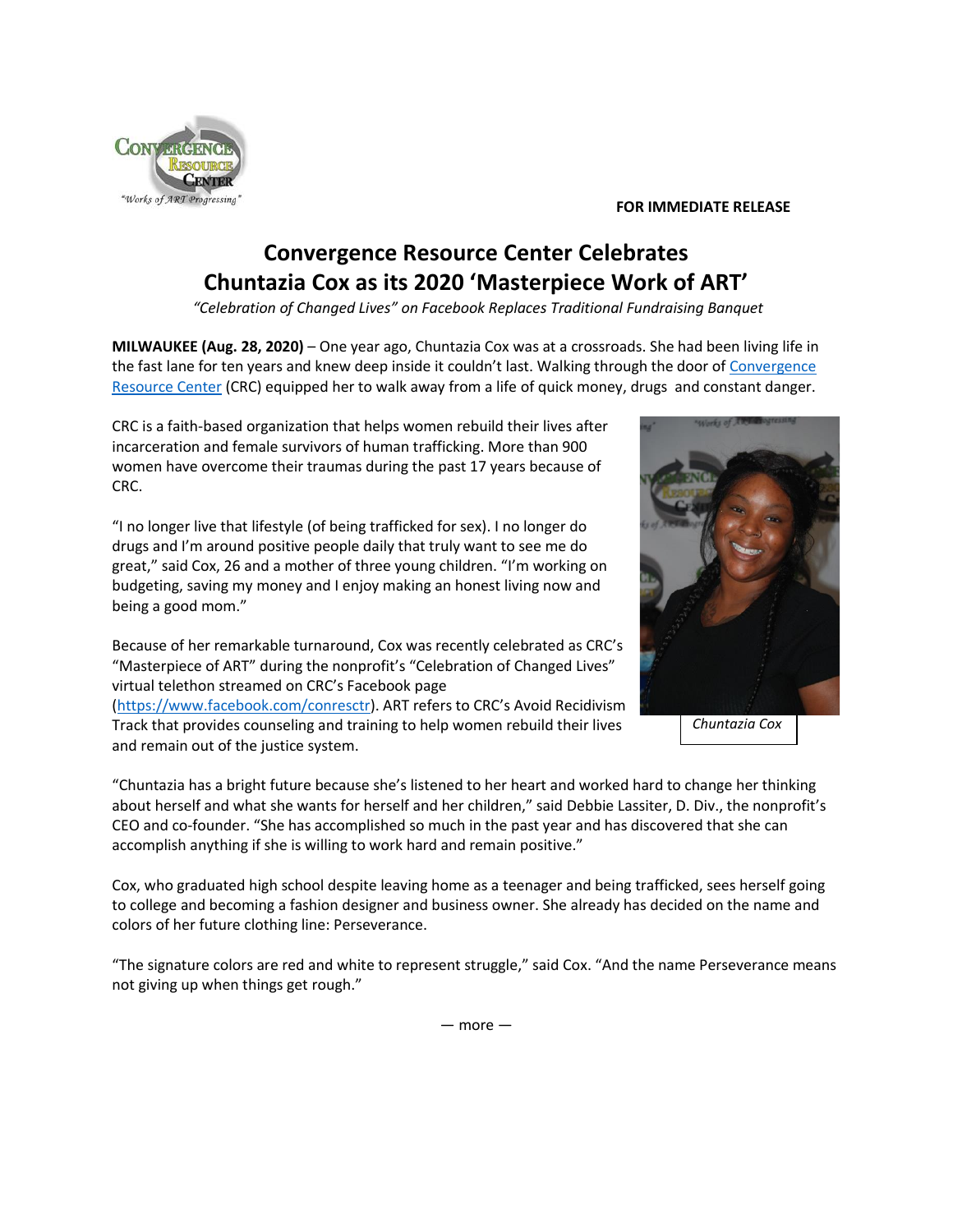## "Works of ART Progressing

## **FOR IMMEDIATE RELEASE**

## **Convergence Resource Center Celebrates Chuntazia Cox as its 2020 'Masterpiece Work of ART'**

*"Celebration of Changed Lives" on Facebook Replaces Traditional Fundraising Banquet*

**MILWAUKEE (Aug. 28, 2020)** – One year ago, Chuntazia Cox was at a crossroads. She had been living life in the fast lane for ten years and knew deep inside it couldn't last. Walking through the door of Convergence Resource Center (CRC) equipped her to walk away from a life of quick money, drugs and constant danger.

CRC is a faith-based organization that helps women rebuild their lives after incarceration and female survivors of human trafficking. More than 900 women have overcome their traumas during the past 17 years because of CRC.

"I no longer live that lifestyle (of being trafficked for sex). I no longer do drugs and I'm around positive people daily that truly want to see me do great," said Cox, 26 and a mother of three young children. "I'm working on budgeting, saving my money and I enjoy making an honest living now and being a good mom."

Because of her remarkable turnaround, Cox was recently celebrated as CRC's "Masterpiece of ART" during the nonprofit's "Celebration of Changed Lives" virtual telethon streamed on CRC's Facebook page

(https://www.facebook.com/conresctr). ART refers to CRC's Avoid Recidivism Track that provides counseling and training to help women rebuild their lives and remain out of the justice system.

"Chuntazia has a bright future because she's listened to her heart and worked hard to change her thinking about herself and what she wants for herself and her children," said Debbie Lassiter, D. Div., the nonprofit's CEO and co-founder. "She has accomplished so much in the past year and has discovered that she can accomplish anything if she is willing to work hard and remain positive."

Cox, who graduated high school despite leaving home as a teenager and being trafficked, sees herself going to college and becoming a fashion designer and business owner. She already has decided on the name and colors of her future clothing line: Perseverance.

"The signature colors are red and white to represent struggle," said Cox. "And the name Perseverance means not giving up when things get rough."



*Chuntazia Cox*

— more —